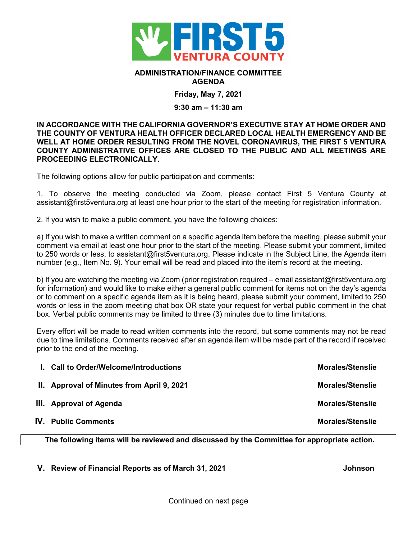

## **ADMINISTRATION/FINANCE COMMITTEE AGENDA**

**Friday, May 7, 2021**

## **9:30 am – 11:30 am**

## **IN ACCORDANCE WITH THE CALIFORNIA GOVERNOR'S EXECUTIVE STAY AT HOME ORDER AND THE COUNTY OF VENTURA HEALTH OFFICER DECLARED LOCAL HEALTH EMERGENCY AND BE WELL AT HOME ORDER RESULTING FROM THE NOVEL CORONAVIRUS, THE FIRST 5 VENTURA COUNTY ADMINISTRATIVE OFFICES ARE CLOSED TO THE PUBLIC AND ALL MEETINGS ARE PROCEEDING ELECTRONICALLY.**

The following options allow for public participation and comments:

1. To observe the meeting conducted via Zoom, please contact First 5 Ventura County at assistant@first5ventura.org at least one hour prior to the start of the meeting for registration information.

2. If you wish to make a public comment, you have the following choices:

a) If you wish to make a written comment on a specific agenda item before the meeting, please submit your comment via email at least one hour prior to the start of the meeting. Please submit your comment, limited to 250 words or less, to assistant@first5ventura.org. Please indicate in the Subject Line, the Agenda item number (e.g., Item No. 9). Your email will be read and placed into the item's record at the meeting.

b) If you are watching the meeting via Zoom (prior registration required – email assistant@first5ventura.org for information) and would like to make either a general public comment for items not on the day's agenda or to comment on a specific agenda item as it is being heard, please submit your comment, limited to 250 words or less in the zoom meeting chat box OR state your request for verbal public comment in the chat box. Verbal public comments may be limited to three (3) minutes due to time limitations.

Every effort will be made to read written comments into the record, but some comments may not be read due to time limitations. Comments received after an agenda item will be made part of the record if received prior to the end of the meeting.

| I. Call to Order/Welcome/Introductions     | <b>Morales/Stenslie</b> |
|--------------------------------------------|-------------------------|
| II. Approval of Minutes from April 9, 2021 | <b>Morales/Stenslie</b> |
| III. Approval of Agenda                    | <b>Morales/Stenslie</b> |
| <b>IV.</b> Public Comments                 | <b>Morales/Stenslie</b> |
|                                            |                         |

**The following items will be reviewed and discussed by the Committee for appropriate action.**

**V. Review of Financial Reports as of March 31, 2021 Johnson**